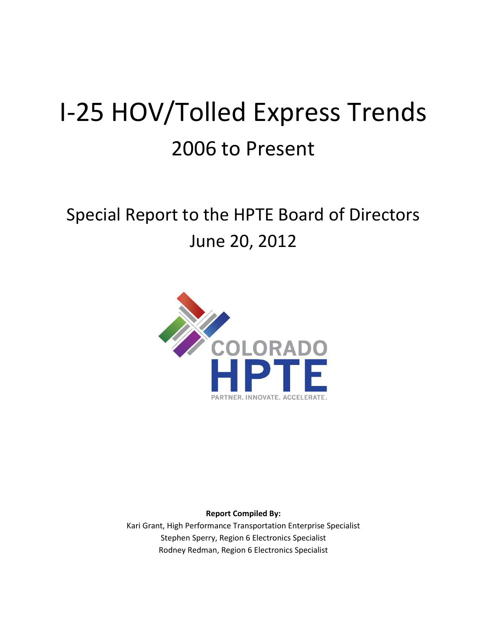# I-25 HOV/Tolled Express Trends 2006 to Present

# Special Report to the HPTE Board of Directors June 20, 2012



**Report Compiled By:**

Kari Grant, High Performance Transportation Enterprise Specialist Stephen Sperry, Region 6 Electronics Specialist Rodney Redman, Region 6 Electronics Specialist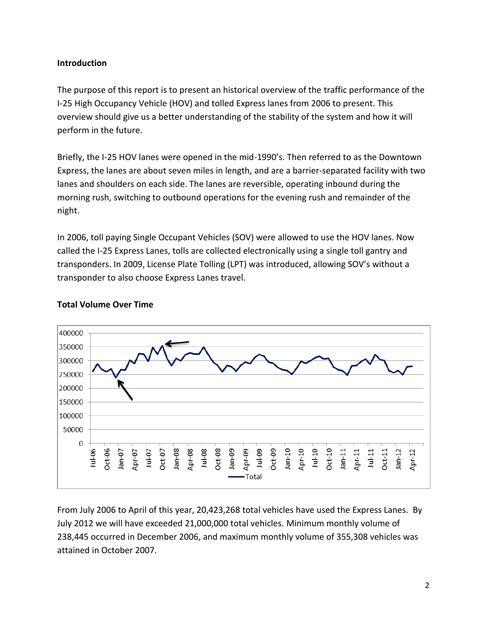# **Introduction**

The purpose of this report is to present an historical overview of the traffic performance of the I-25 High Occupancy Vehicle (HOV) and tolled Express lanes from 2006 to present. This overview should give us a better understanding of the stability of the system and how it will perform in the future.

Briefly, the I-25 HOV lanes were opened in the mid-1990's. Then referred to as the Downtown Express, the lanes are about seven miles in length, and are a barrier-separated facility with two lanes and shoulders on each side. The lanes are reversible, operating inbound during the morning rush, switching to outbound operations for the evening rush and remainder of the night.

In 2006, toll paying Single Occupant Vehicles (SOV) were allowed to use the HOV lanes. Now called the I-25 Express Lanes, tolls are collected electronically using a single toll gantry and transponders. In 2009, License Plate Tolling (LPT) was introduced, allowing SOV's without a transponder to also choose Express Lanes travel.



## **Total Volume Over Time**

From July 2006 to April of this year, 20,423,268 total vehicles have used the Express Lanes. By July 2012 we will have exceeded 21,000,000 total vehicles. Minimum monthly volume of 238,445 occurred in December 2006, and maximum monthly volume of 355,308 vehicles was attained in October 2007.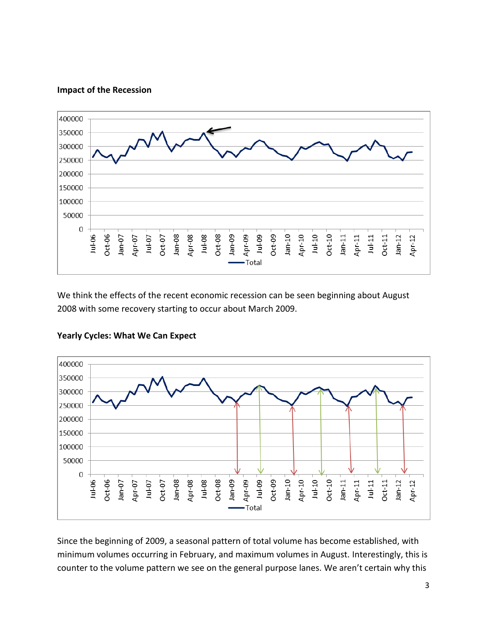#### **Impact of the Recession**



We think the effects of the recent economic recession can be seen beginning about August 2008 with some recovery starting to occur about March 2009.



#### **Yearly Cycles: What We Can Expect**

Since the beginning of 2009, a seasonal pattern of total volume has become established, with minimum volumes occurring in February, and maximum volumes in August. Interestingly, this is counter to the volume pattern we see on the general purpose lanes. We aren't certain why this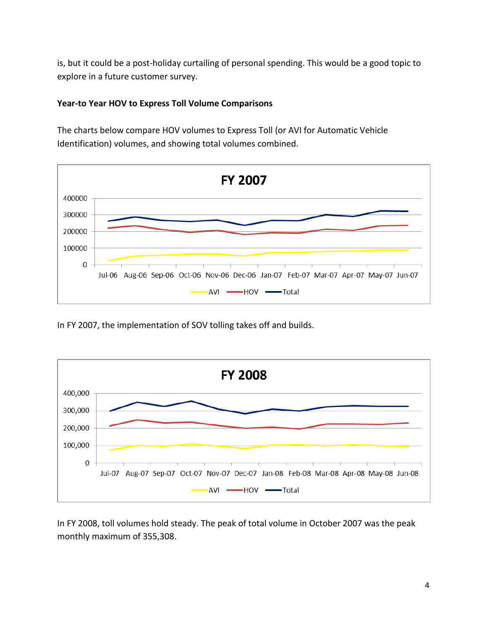is, but it could be a post-holiday curtailing of personal spending. This would be a good topic to explore in a future customer survey.

# **Year-to Year HOV to Express Toll Volume Comparisons**

The charts below compare HOV volumes to Express Toll (or AVI for Automatic Vehicle Identification) volumes, and showing total volumes combined.



In FY 2007, the implementation of SOV tolling takes off and builds.



In FY 2008, toll volumes hold steady. The peak of total volume in October 2007 was the peak monthly maximum of 355,308.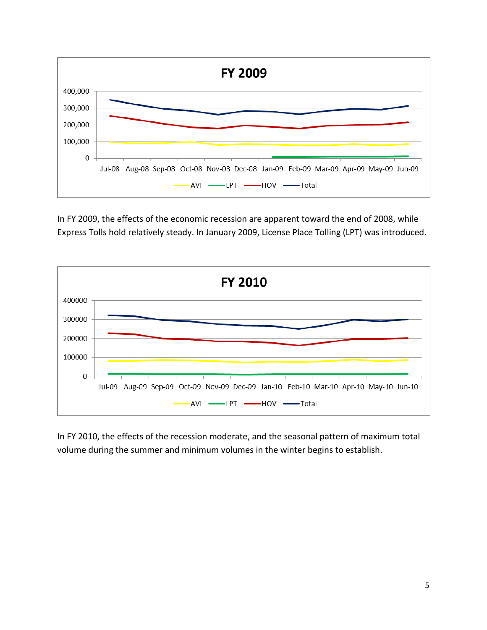

In FY 2009, the effects of the economic recession are apparent toward the end of 2008, while Express Tolls hold relatively steady. In January 2009, License Place Tolling (LPT) was introduced.



In FY 2010, the effects of the recession moderate, and the seasonal pattern of maximum total volume during the summer and minimum volumes in the winter begins to establish.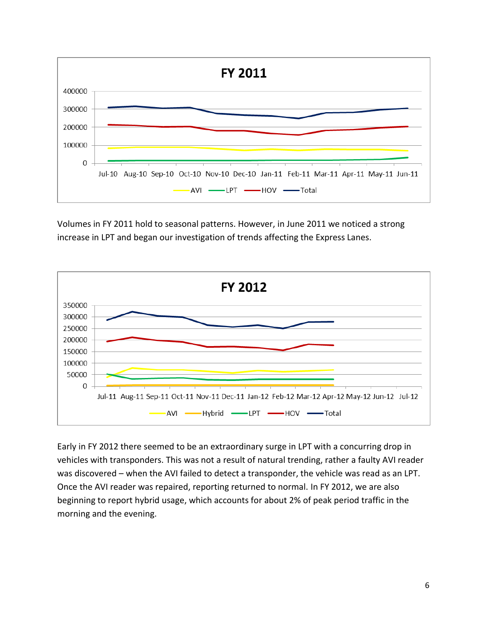

Volumes in FY 2011 hold to seasonal patterns. However, in June 2011 we noticed a strong increase in LPT and began our investigation of trends affecting the Express Lanes.



Early in FY 2012 there seemed to be an extraordinary surge in LPT with a concurring drop in vehicles with transponders. This was not a result of natural trending, rather a faulty AVI reader was discovered – when the AVI failed to detect a transponder, the vehicle was read as an LPT. Once the AVI reader was repaired, reporting returned to normal. In FY 2012, we are also beginning to report hybrid usage, which accounts for about 2% of peak period traffic in the morning and the evening.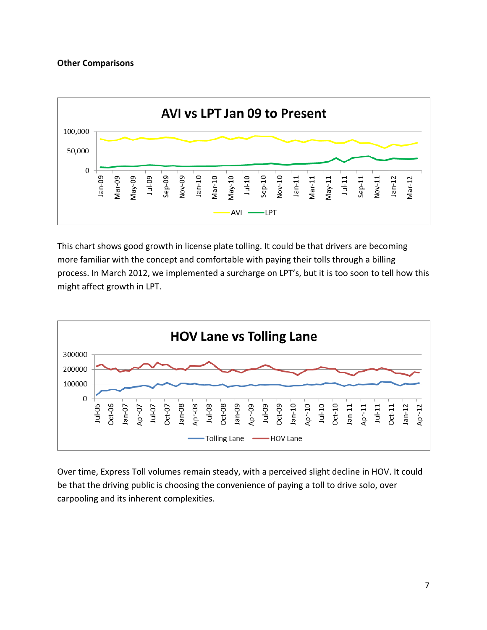#### **Other Comparisons**



This chart shows good growth in license plate tolling. It could be that drivers are becoming more familiar with the concept and comfortable with paying their tolls through a billing process. In March 2012, we implemented a surcharge on LPT's, but it is too soon to tell how this might affect growth in LPT.



Over time, Express Toll volumes remain steady, with a perceived slight decline in HOV. It could be that the driving public is choosing the convenience of paying a toll to drive solo, over carpooling and its inherent complexities.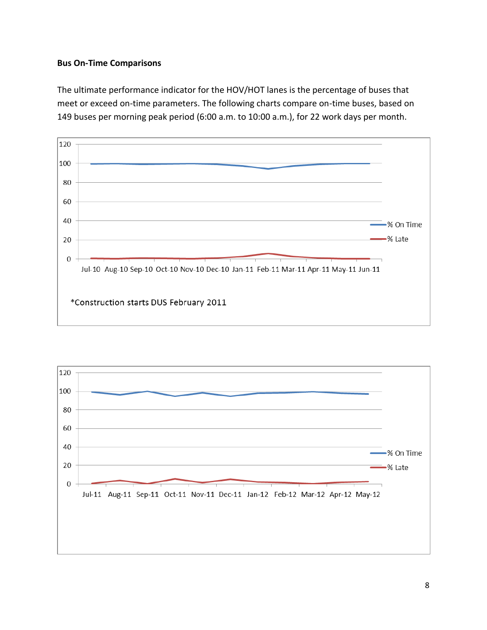# **Bus On-Time Comparisons**

The ultimate performance indicator for the HOV/HOT lanes is the percentage of buses that meet or exceed on-time parameters. The following charts compare on-time buses, based on 149 buses per morning peak period (6:00 a.m. to 10:00 a.m.), for 22 work days per month.